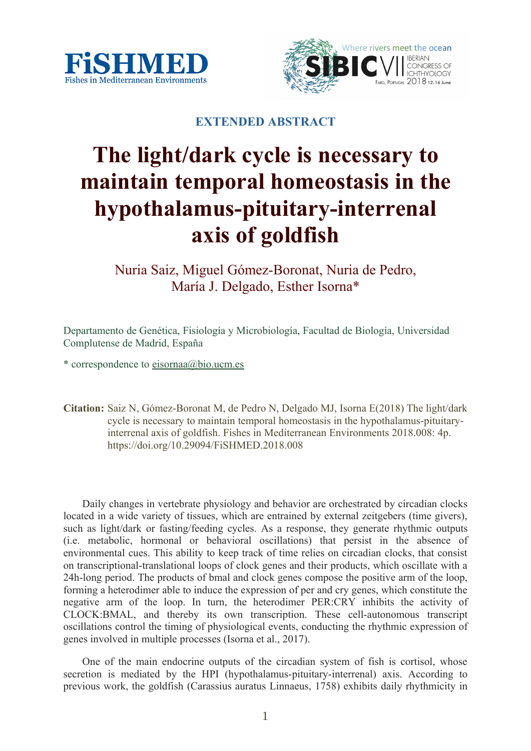



## **EXTENDED ABSTRACT**

# **The light/dark cycle is necessary to maintain temporal homeostasis in the hypothalamus-pituitary-interrenal axis of goldfish**

Nuria Saiz, Miguel Gómez-Boronat, Nuria de Pedro, María J. Delgado, Esther Isorna\*

Departamento de Genética, Fisiología y Microbiología, Facultad de Biología, Universidad Complutense de Madrid, España

 $*$  correspondence to eisornaa@bio.ucm.es

**Citation:** Saiz N, Gómez-Boronat M, de Pedro N, Delgado MJ, Isorna E(2018) The light/dark cycle is necessary to maintain temporal homeostasis in the hypothalamus-pituitaryinterrenal axis of goldfish. Fishes in Mediterranean Environments 2018.008: 4p. https://doi.org/10.29094/FiSHMED.2018.008

Daily changes in vertebrate physiology and behavior are orchestrated by circadian clocks located in a wide variety of tissues, which are entrained by external zeitgebers (time givers), such as light/dark or fasting/feeding cycles. As a response, they generate rhythmic outputs (i.e. metabolic, hormonal or behavioral oscillations) that persist in the absence of environmental cues. This ability to keep track of time relies on circadian clocks, that consist on transcriptional-translational loops of clock genes and their products, which oscillate with a 24h-long period. The products of bmal and clock genes compose the positive arm of the loop, forming a heterodimer able to induce the expression of per and cry genes, which constitute the negative arm of the loop. In turn, the heterodimer PER:CRY inhibits the activity of CLOCK:BMAL, and thereby its own transcription. These cell-autonomous transcript oscillations control the timing of physiological events, conducting the rhythmic expression of genes involved in multiple processes (Isorna et al., 2017).

One of the main endocrine outputs of the circadian system of fish is cortisol, whose secretion is mediated by the HPI (hypothalamus-pituitary-interrenal) axis. According to previous work, the goldfish (Carassius auratus Linnaeus, 1758) exhibits daily rhythmicity in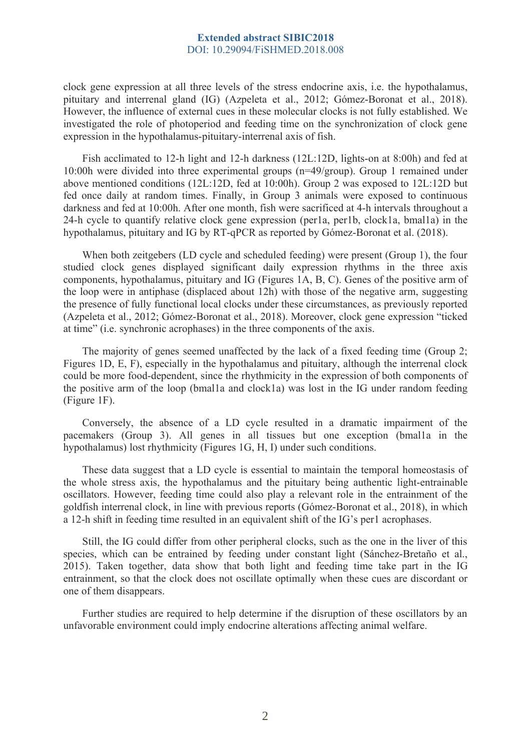#### **Extended abstract SIBIC2018** DOI: 10.29094/FiSHMED.2018.008

clock gene expression at all three levels of the stress endocrine axis, i.e. the hypothalamus, pituitary and interrenal gland (IG) (Azpeleta et al., 2012; Gómez-Boronat et al., 2018). However, the influence of external cues in these molecular clocks is not fully established. We investigated the role of photoperiod and feeding time on the synchronization of clock gene expression in the hypothalamus-pituitary-interrenal axis of fish.

Fish acclimated to 12-h light and 12-h darkness (12L:12D, lights-on at 8:00h) and fed at 10:00h were divided into three experimental groups (n=49/group). Group 1 remained under above mentioned conditions (12L:12D, fed at 10:00h). Group 2 was exposed to 12L:12D but fed once daily at random times. Finally, in Group 3 animals were exposed to continuous darkness and fed at 10:00h. After one month, fish were sacrificed at 4-h intervals throughout a 24-h cycle to quantify relative clock gene expression (per1a, per1b, clock1a, bmal1a) in the hypothalamus, pituitary and IG by RT-qPCR as reported by Gómez-Boronat et al. (2018).

When both zeitgebers (LD cycle and scheduled feeding) were present (Group 1), the four studied clock genes displayed significant daily expression rhythms in the three axis components, hypothalamus, pituitary and IG (Figures 1A, B, C). Genes of the positive arm of the loop were in antiphase (displaced about 12h) with those of the negative arm, suggesting the presence of fully functional local clocks under these circumstances, as previously reported (Azpeleta et al., 2012; Gómez-Boronat et al., 2018). Moreover, clock gene expression "ticked at time" (i.e. synchronic acrophases) in the three components of the axis.

The majority of genes seemed unaffected by the lack of a fixed feeding time (Group 2; Figures 1D, E, F), especially in the hypothalamus and pituitary, although the interrenal clock could be more food-dependent, since the rhythmicity in the expression of both components of the positive arm of the loop (bmal1a and clock1a) was lost in the IG under random feeding (Figure 1F).

Conversely, the absence of a LD cycle resulted in a dramatic impairment of the pacemakers (Group 3). All genes in all tissues but one exception (bmal1a in the hypothalamus) lost rhythmicity (Figures 1G, H, I) under such conditions.

These data suggest that a LD cycle is essential to maintain the temporal homeostasis of the whole stress axis, the hypothalamus and the pituitary being authentic light-entrainable oscillators. However, feeding time could also play a relevant role in the entrainment of the goldfish interrenal clock, in line with previous reports (Gómez-Boronat et al., 2018), in which a 12-h shift in feeding time resulted in an equivalent shift of the IG's per1 acrophases.

Still, the IG could differ from other peripheral clocks, such as the one in the liver of this species, which can be entrained by feeding under constant light (Sánchez-Bretaño et al., 2015). Taken together, data show that both light and feeding time take part in the IG entrainment, so that the clock does not oscillate optimally when these cues are discordant or one of them disappears.

Further studies are required to help determine if the disruption of these oscillators by an unfavorable environment could imply endocrine alterations affecting animal welfare.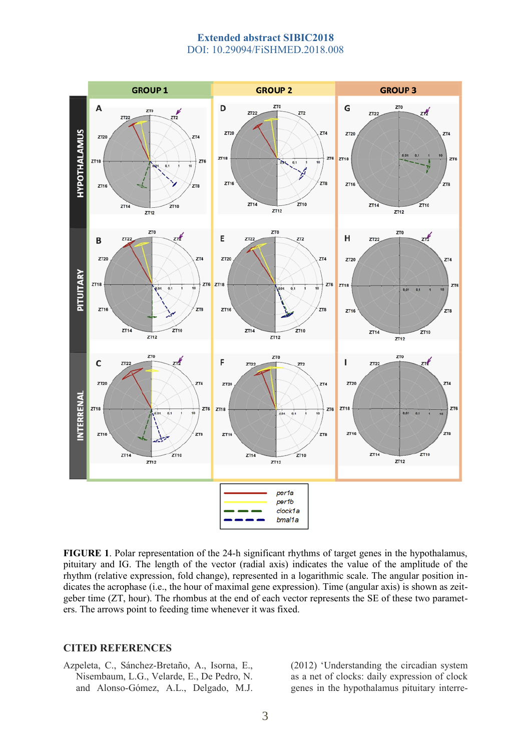#### **Extended abstract SIBIC2018** DOI: 10.29094/FiSHMED.2018.008



**FIGURE 1**. Polar representation of the 24-h significant rhythms of target genes in the hypothalamus, pituitary and IG. The length of the vector (radial axis) indicates the value of the amplitude of the rhythm (relative expression, fold change), represented in a logarithmic scale. The angular position indicates the acrophase (i.e., the hour of maximal gene expression). Time (angular axis) is shown as zeitgeber time (ZT, hour). The rhombus at the end of each vector represents the SE of these two parameters. The arrows point to feeding time whenever it was fixed.

#### **CITED REFERENCES**

Azpeleta, C., Sánchez-Bretaño, A., Isorna, E., Nisembaum, L.G., Velarde, E., De Pedro, N. and Alonso-Gómez, A.L., Delgado, M.J. (2012) 'Understanding the circadian system as a net of clocks: daily expression of clock genes in the hypothalamus pituitary interre-